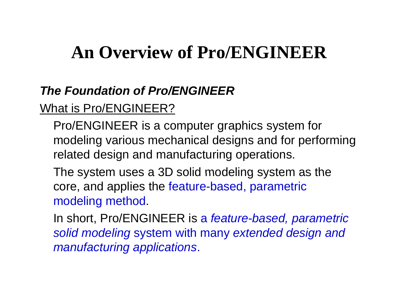# **An Overview of Pro/ENGINEER**

## *The Foundation of Pro/ENGINEER*

## What is Pro/ENGINEER?

Pro/ENGINEER is a computer graphics system for modeling various mechanical designs and for performing related design and manufacturing operations.

The system uses a 3D solid modeling system as the  $\,$ core, and applies the feature-based, parametric modeling method.

In short, Pro/ENGINEER is a *feature -based, parametric solid modeling* system with many *extended design and manufacturing applications applications*.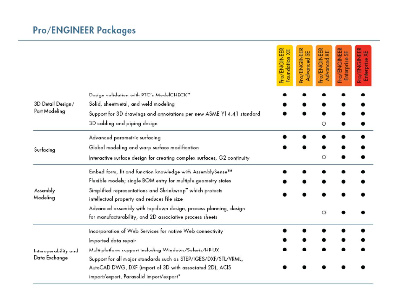## Pro/ENGINEER Packages

|                                       |                                                                                                                              | <b>Pro/ENGINEER</b><br>Foundation XE | ENGINEER<br>Advanced SE<br>Pro/ | Pro/ENGINEER<br>Advanced XE | Pro/ENGINEER<br>Enterprise SE<br>Enterprise | ENGINER<br>Enterprise XE<br>è |
|---------------------------------------|------------------------------------------------------------------------------------------------------------------------------|--------------------------------------|---------------------------------|-----------------------------|---------------------------------------------|-------------------------------|
| 3D Detail Design/<br>Part Modeling    | Design validation with PTC's ModelCHECK™                                                                                     |                                      |                                 |                             |                                             |                               |
|                                       | Solid, sheetmetal, and weld modeling                                                                                         |                                      |                                 |                             |                                             |                               |
|                                       | Support for 3D drawings and annotations per new ASME Y1 4.41 standard                                                        |                                      |                                 |                             |                                             |                               |
|                                       | 3D cabling and piping design                                                                                                 |                                      |                                 | О                           |                                             |                               |
| Surfacing                             | Advanced parametric surfacing                                                                                                |                                      |                                 |                             |                                             |                               |
|                                       | Global modeling and warp surface modification                                                                                |                                      |                                 |                             |                                             |                               |
|                                       | Interactive surface design for creating complex surfaces, G2 continuity                                                      |                                      |                                 | О                           |                                             |                               |
| Assembly<br>Modeling                  | Embed form, fit and function knowledge with AssemblySense™                                                                   |                                      |                                 |                             |                                             |                               |
|                                       | Flexible models; single BOM entry for multiple geometry states                                                               |                                      |                                 |                             |                                             |                               |
|                                       | Simplified representations and Shrinkwrap" which protects<br>intellectual property and reduces file size                     |                                      |                                 |                             |                                             |                               |
|                                       | Advanced assembly with top-down design, process planning, design<br>for manufacturability, and 2D associative process sheets |                                      |                                 | $\circ$                     |                                             |                               |
| Interoperability and<br>Data Exchange | Incorporation of Web Services for native Web connectivity                                                                    |                                      |                                 |                             |                                             |                               |
|                                       | Imported data repair                                                                                                         |                                      |                                 |                             |                                             |                               |
|                                       | Multi-platform support including Windows/Solaris/HP-UX                                                                       |                                      |                                 |                             |                                             |                               |
|                                       | Support for all major standards such as STEP/IGES/DXF/STL/VRML,                                                              |                                      |                                 |                             |                                             |                               |
|                                       | AutoCAD DWG, DXF (import of 3D with associated 2D), ACIS                                                                     |                                      |                                 |                             |                                             |                               |
|                                       | import/export, Parasolid import/export*                                                                                      |                                      |                                 |                             |                                             |                               |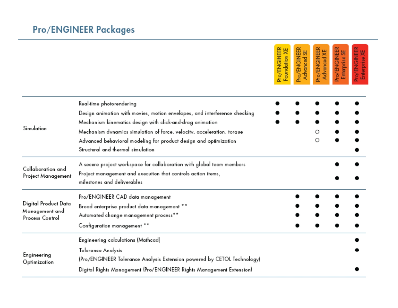|                                                           |                                                                                                                                                                                                                                                                                                                                                       | <b>Pro/ENGINEER</b><br>Foundation XE | Pro/ENGINEER<br>Advanced SE | Pro/ENGINEER<br>Advanced XE | Pro/ENGINEER<br>Enterprise SE | Pro/ENGINEER<br>Enterprise XE |
|-----------------------------------------------------------|-------------------------------------------------------------------------------------------------------------------------------------------------------------------------------------------------------------------------------------------------------------------------------------------------------------------------------------------------------|--------------------------------------|-----------------------------|-----------------------------|-------------------------------|-------------------------------|
| Simulation                                                | Real-time photorendering<br>Design animation with movies, motion envelopes, and interference checking<br>Mechanism kinematics design with click-and-drag animation<br>Mechanism dynamics simulation of force, velocity, acceleration, torque<br>Advanced behavioral modeling for product design and optimization<br>Structural and thermal simulation |                                      |                             | О<br>Ο                      |                               |                               |
| Collaboration and<br>Project Management                   | A secure project workspace for collaboration with global team members<br>Project management and execution that controls action items,<br>milestones and deliverables                                                                                                                                                                                  |                                      |                             |                             |                               |                               |
| Digital Product Data<br>Management and<br>Process Control | Pro/ENGINEER CAD data management<br>Broad enterprise product data management **<br>Automated change management process**<br>Configuration management **                                                                                                                                                                                               |                                      |                             |                             |                               |                               |
| Engineering<br>Optimization                               | Engineering calculations (Mathcad)<br>Tolerance Analysis<br>(Pro/ENGINEER Tolerance Analysis Extension powered by CETOL Technology)<br>Digital Rights Management (Pro/ENGINEER Rights Management Extension)                                                                                                                                           |                                      |                             |                             |                               |                               |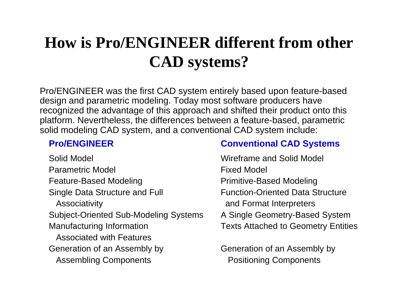## **How is Pro/ENGINEER different from other CAD ? s ystems ?**

Pro/ENGINEER was the first CAD system entirely based upon feature-based design and parametric modeling. Today most software producers have recognized the advantage of this approach and shifted their product onto this platform. Nevertheless, the differences between a feature-based, parametric solid modeling CAD system, and a conventional CAD system include:

Solid Model Wireframe and Solid Model Parametric Model **Fixed Model** Feature-Based Modeling **Primitive-Based Modeling** Single Data Structure and Full Function-Oriented Data Structure Associativity **Associativity** and Format Interpreters Subject-Oriented Sub-Modeling Syst Manufacturing Information Texts Attached to Geometry Entities Associated with FeaturesGeneration of an Assembly by **Example 20** Generation of an Assembly by Assembling Components **Positioning Components** 

### **Pro/ENGINEER Conventional CAD Systems**

Systems A Single Geometry-Based System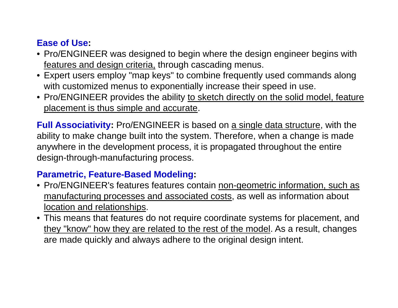### **Ease of Use:**

- $\bullet$  Pro/ENGINEER was designed to begin where the design engineer begins with features and design criteria, through cascading menus.
- Expert users employ "map keys" to combine frequently used commands along with customized menus to exponentially increase their speed in use.
- Pro/ENGINEER provides the ability to sketch directly on the solid model, feature placement is thus simple and accurate.

**Full Associativity:** Pro/ENGINEER is based on <u>a single data structure</u>, with the ability to make change built into the system. Therefore, when a change is made anywhere in the development process, it is propagated throughout the entire design-through-manufacturing process.

### **Parametric Feature Parametric, Feature-Based Modeling Based Modeling:**

- Pro/ENGINEER's features features contain non-geometric information, such as manufacturing processes and associated costs, as well as information about location and relationships.
- This means that features do not require coordinate systems for placement, and they "know" how they are related to the rest of the model. As a result, changes are made quickly and always adhere to the original design intent.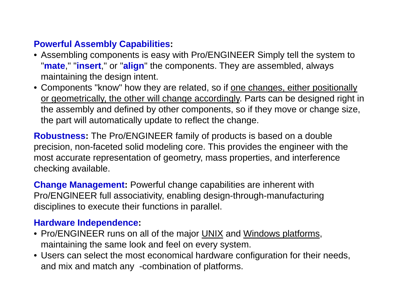### **Powerful Assembly Capabilities:**

- $\bullet$  Assembling components is easy with Pro/ENGINEER Simply tell the system to "**mate**," "**insert**," or "**align**" the components. They are assembled, always maintaining the design intent.
- Components "know" how they are related, so if <u>one changes, either positionally</u> or geometrically, the other will change accordingly. Parts can be designed right in the assembly and defined by other components, so if they move or change size, the part will automatically update to reflect the change.

**Robustness:** The Pro/ENGINEER family of products is based on a double precision, non-faceted solid modeling core. This provides the engineer with the most accurate representation of geometry, mass properties, and interference checking available.

**Change Management:** Powerful change capabilities are inherent with Pro/ENGlNEER full associativity, enabling design-through-manufacturing disciplines to execute their functions in parallel.

### **Hardware Independence:**

- Pro/ENGINEER runs on all of the major <u>UNIX</u> and Windows platforms, maintaining the same look and feel on every system.
- Users can select the most economical hardware configuration for their needs, and mix and match any -combination of platforms.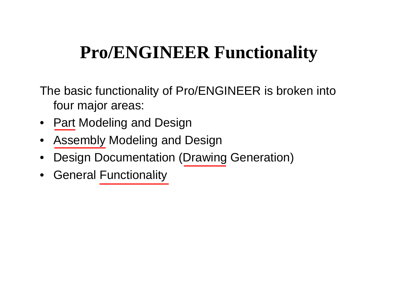# **Pro/ENGINEER Functionality**

The basic functionalit y of Pro/ENGINEER is broken into four major areas:

- $\bullet$ Part Modeling and Design
- $\bullet$ Assembly Modeling and Design
- •Design Documentation (Drawing Generation)
- General Functionality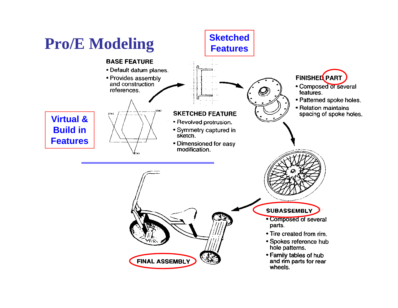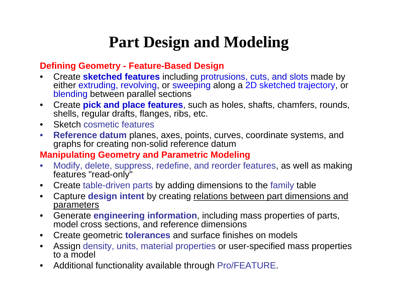## **Part Design and Modeling**

### **Defining Geometry - Feature-Based Design**

- • Create **sketched features** including protrusions, cuts, and slots made by either extruding, revolving, or sweeping along a 2D sketched trajectory, or blending between parallel sections
- $\bullet$  Create **pick and place features**, such as holes, shafts, chamfers, rounds, shells, regular drafts, flanges, ribs, etc.
- $\bullet$ Sketch cosmetic features
- $\bullet$ **• Reference datum** planes, axes, points, curves, coordinate systems, and graphs for creating non-solid reference datum

### **Manipulating Geometry and Parametric Modeling**

- $\bullet$  Modify, delete, suppress, redefine, and reorder features, as well as making features "read-only"
- $\bullet$ Create table-driven parts by adding dimensions to the family table
- $\bullet$  Capture **design intent** by creating relations between part dimensions and parameters
- $\bullet$  Generate **engineering information**, including mass properties of parts, model cross sections, and reference dimensions
- $\bullet$ Create geometric **tolerances** and surface finishes on models
- $\bullet$ Assign density, units, material properties or user-specified mass properties to a model
- $\bullet$ Additional functionality available through Pro/FEATURE.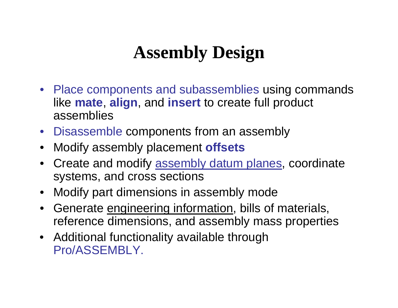# **Assembly Design**

- Place components and subassemblies using commands like **mate**, **align**, and **insert** to create full product assemblies
- Disassemble components from an assembly
- Modify assembly placement **offsets**
- Create and modify assembly datum planes, coordinate systems, and cross sections
- Modify part dimensions in assembly mode
- Generate engineering information, bills of materials, reference dimensions, and assembly mass properties
- Additional functionality available through Pro/ASSEMBLY.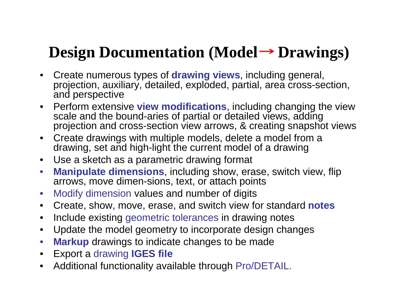## **Design Documentation (Model Drawings) Drawings)**

- $\bullet$  Create numerous types of **drawing views**, including general, projection, auxiliary, detailed, exploded, partial, area cross-section, and perspective
- Perform extensive **view modifications**, including changing the view scale and the bound-aries of partial or detailed views, adding projection and cross-section view arrows, & creating snapshot views
- Create drawings with multiple models, delete a model from a drawing, set and high-light the current model of a drawing
- Use a sketch as a parametric drawing format
- $\bullet$ **Manipulate dimensions**, including show, erase, switch view, flip arrows, move dimen-sions, text, or attach points
- $\bullet$ Modify dimension values and number of digits
- $\bullet$ Create, show, move, erase, and switch view for standard **notes**
- $\bullet$ Include existing geometric tolerances in drawing notes
- $\bullet$ Update the model geometry to incorporate design changes
- $\bullet$ **Markup** drawings to indicate changes to be made
- $\bullet$ • Export a drawing IGES file
- $\bullet$ Additional functionality available through Pro/DETAIL.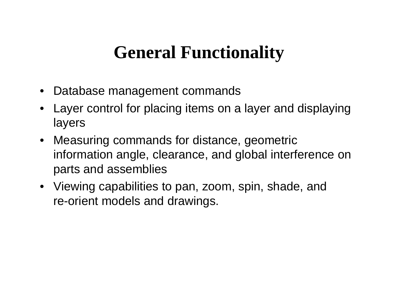## **General Functionality**

- Database mana gement commands
- Layer control for placing items on a layer and displaying layers
- Measuring commands for distance, geometric information angle, clearance, and global interference on parts and assemblies
- Viewing capabilities to pan, zoom, spin, shade, and re-orient models and drawings.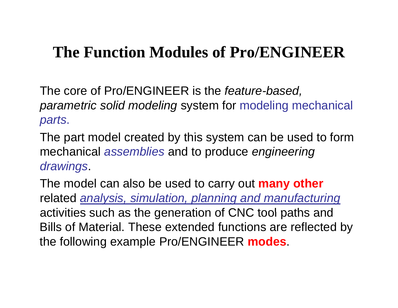## **The Function Modules of Pro/ENGINEER of**

The core of Pro/ENGINEER is the *feature -based, parametric solid modeling* system for modeling mechanical *parts*.

The part model created by this system can be used to form mechanical *assemblies* and to produce *engineering drawings*.

The model can also be used to carry out **many other** related *analysis, simulation, planning and manufacturing* activities such as the generation of CNC tool paths and Bills of Material. These extended functions are reflected by the following example Pro/ENGINEER **modes**.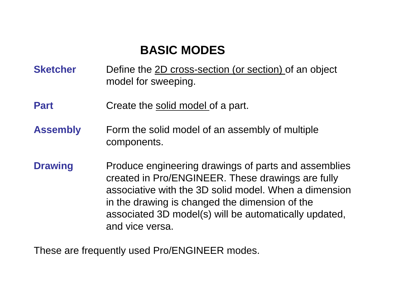## **BASIC MODES**

- **Sketcher**Define the 2D cross-section (or section) of an object model for sweeping.
- **Part**Create the solid model of a part.
- **Assembly** Form the solid model of an assembly of multiple components.
- **Drawing** Produce engineering drawings of parts and assemblies created in Pro/ENGINEER. These drawings are fully associative with the 3D solid model. When a dimension in the drawing is changed the dimension of the associated 3D model(s) will be automatically updated, and vice versa.

These are frequently used Pro/ENGINEER modes.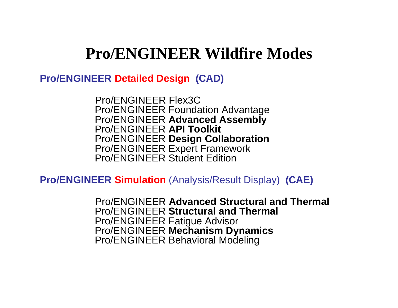**Pro/ENGINEER Detailed Design (CAD)**

Pro/ENGINEER Flex3CPro/ENGINEER Foundation Advantage Pro/ENGINEER **Advanced Assembly** Pro/ENGINEER **API Toolkit** Pro/ENGINEER **Design Collaboration** Pro/ENGINEER Expert Framework Pro/ENGINEER Student Edition

**Pro/ENGINEER Simulation** (Analysis/Result Display) **(CAE)**

Pro/ENGINEER **Advanced Structural and Thermal** Pro/ENGINEER **Structural and Thermal** Pro/ENGINEER Fatigue Advisor Pro/ENGINEER **Mechanism Dynamics** Pro/ENGINEER Behavioral Modeling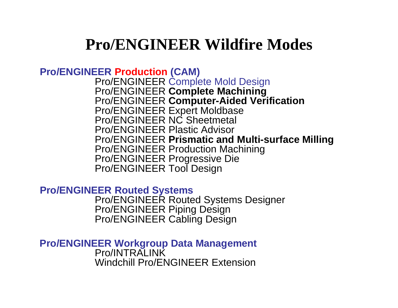### **Pro/ENGINEER Production (CAM)** Pro/ENGINEER Complete Mold Design Pro/ENGINEER **Com p g lete Machinin** Pro/ENGINEER **Computer-Aided Verification** Pro/ENGINEER Expert Moldbase Pro/ENGINEER NC Sheetmetal Pro/ENGINEER Plastic Adviso r Pro/ENGINEER **Prismatic and Multi-surface Milling** Pro/ENGINEER Production Machining Pro/ENGINEER Progressive Die Pro/ENGINEER Tool Desi g n

**Pro/ENGINEER Routed Systems**

Pro/ENGINEER Routed Systems Designer Pro/ENGINEER Piping Design Pro/ENGINEER Cabling Design

**Pro/ENGINEER Workgroup Data Management** Pro/INTRALINK Windchill Pro/ENGINEER Extension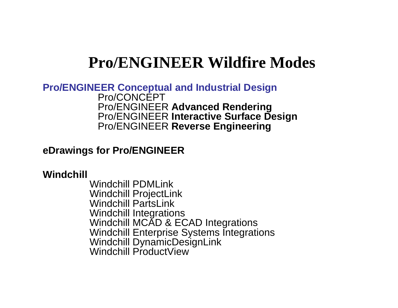**Pro/ENGINEER Conceptual and Industrial Design** Pro/CONCEPT Pro/ENGINEER **Advanced Rendering** Pro/ENGINEER **Interactive Surface Design** Pro/ENGINEER **Reverse Engineering**

### **eDrawings for Pro/ENGINEER**

### **Windchill**

Windchill PDMLinkWindchill ProjectLink Windchill PartsLink Windchill Integrations Windchill MCAD & ECAD Integrations Windchill Enterprise Systems Integrations Windchill DynamicDesignLink Windchill ProductView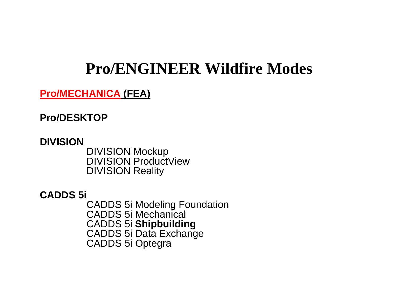### **Pro/MECHANICA (FEA)**

**Pro/DESKTOP**

**DIVISION**DIVISION Mockup DIVISION ProductView DIVISION Reality

**CADDS 5i** CADDS 5i Modeling Foundation CADDS 5i Mechanical CADDS 5i **Shipbuilding** CADDS 5i Data Exchange CADDS 5i Optegra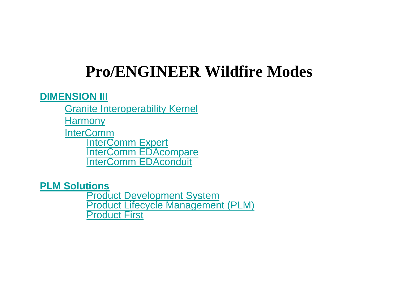### **DIMENSION III**

Granite Interoperability Kernel

**Harmony** 

**InterComm InterComm Expert** InterComm EDAcompare InterComm EDAconduit

**PLM Solutions**

**Product Development System** Product Lifecycle Management (PLM) Product First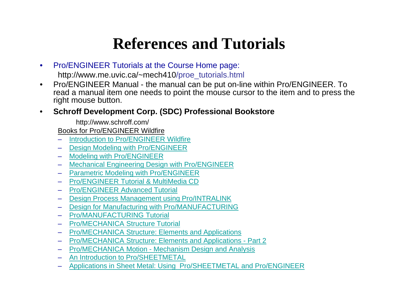## **References and Tutorials**

- $\bullet$  Pro/ENGINEER Tutorials at the Course Home page: http://www.me.uvic.ca/~mech410/proe\_tutorials.html
- $\bullet$  Pro/ENGINEER Manual - the manual can be put on-line within Pro/ENGINEER. To read a manual item one needs to point the mouse cursor to the item and to press the right mouse button.

#### •**Schroff Development Corp. (SDC) Professional Bookstore**

http://www.schroff.com/

Books for Pro/ENGINEER Wildfire

- Introduction to Pro/ENGINEER Wildfire
- Design Modeling with Pro/ENGINEER
- Modeling with Pro/ENGINEER
- Mechanical Engineering Design with Pro/ENGINEER
- Parametric Modeling with Pro/ENGINEER
- Pro/ENGINEER Tutorial & MultiMedia CD
- Pro/ENGINEER Advanced Tutorial
- Design Process Management using Pro/INTRALINK
- Design for Manufacturing with Pro/MANUFACTURING
- Pro/MANUFACTURING Tutorial
- Pro/MECHANICA Structure Tutorial
- Pro/MECHANICA Structure: Elements and Applications
- Pro/MECHANICA Structure: Elements and Applications Part 2
- Pro/MECHANICA Motion Mechanism Design and Analysis
- An Introduction to Pro/SHEETMETAL
- Applications in Sheet Metal: Using Pro/SHEETMETAL and Pro/ENGINEER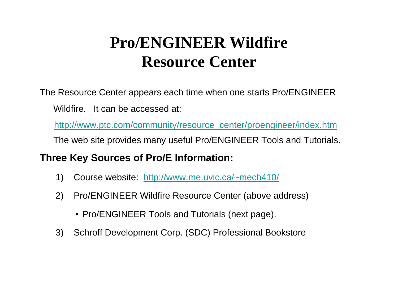## **Pro/ENGINEER Wildfire R C esource Center**

The Resource Center appears each time when one starts Pro/ENGINEER Wildfire. It can be accessed at:

http://www.ptc.com/community/resource\_center/proengineer/index.htm The web site provides many useful Pro/ENGINEER Tools and Tutorials.

### **Three Key Sources of Pro/E Information:**

- 1) Course website: http://www.me.uvic.ca/~mech410 /
- 2) Pro/ENGINEER Wildfire Resource Center (above address)
	- Pro/ENGINEER Tools and Tutorials (next page).
- 3) Schroff Development Corp. (SDC) Professional Bookstore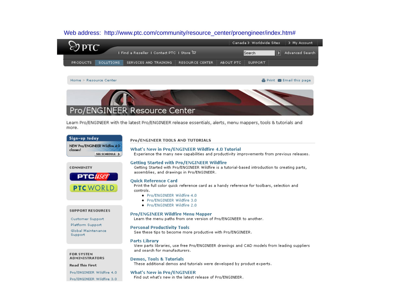### Web address: http://www.ptc.com/community/resource\_center/proengineer/index.htm#



#### Home > Resource Center

▲ Print ■ Email this page



Learn Pro/ENGINEER with the latest Pro/ENGINEER release essentials, alerts, menu mappers, tools & tutorials and more.

### Sign-up today NEW Pro/ENGINEER Wildfire 4.0 classes! SEE SCHEDULE >

#### **COMMUNITY**



#### **SUPPORT RESOURCES**

Customer Support Platform Support Global Maintenance Support

#### **FOR SYSTEM ADMINISTRATORS**

#### **Read This First**

Pro/ENGINEER Wildfire 4.0 Pro/ENGINEER Wildfire 3.0

### What's New in Pro/ENGINEER

Find out what's new in the latest release of Pro/ENGINEER.

### Pro/ENGINEER TOOLS AND TUTORIALS

#### What's New in Pro/ENGINEER Wildfire 4.0 Tutorial

Experience the many new capabilities and productivity improvements from previous releases.

#### **Getting Started with Pro/ENGINEER Wildfire**

Getting Started with Pro/ENGINEER Wildfire is a tutorial-based introduction to creating parts, assemblies, and drawings in Pro/ENGINEER.

#### **Quick Reference Card**

Print the full color quick reference card as a handy reference for toolbars, selection and controls.

- · Pro/ENGINEER Wildfire 4.0
- · Pro/ENGINEER Wildfire 3.0
- · Pro/ENGINEER Wildfire 2.0

#### **Pro/ENGINEER Wildfire Menu Mapper**

Learn the menu paths from one version of Pro/ENGINEER to another.

#### **Personal Productivity Tools**

See these tips to become more productive with Pro/ENGINEER.

#### **Parts Library**

View parts libraries, use free Pro/ENGINEER drawings and CAD models from leading suppliers and search for manufacturers.

#### **Demos, Tools & Tutorials**

These additional demos and tutorials were developed by product experts.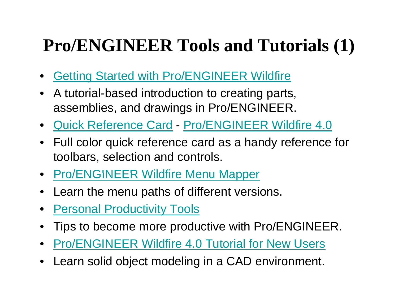# **Pro/ENGINEER Tools and Tutorials (1)**

- •Getting Started with Pro/ENGINEER Wildfire
- $\bullet$  $\bullet$  A tutorial-based introduction to creating parts, assemblies, and drawings in Pro/ENGINEER.
- Quick Reference Card Pro/ENGINEER Wildfire 4.0
- $\bullet$  Full color quick reference card as a handy reference for toolbars, selection and controls.
- **Pro/ENGINEER Wildfire Menu Mapper**
- $\bullet$ Learn the menu paths of different versions.
- $\bullet$ Personal Productivity Tools
- •Tips to become more productive with Pro/ENGINEER.
- •Pro/ENGINEER Wildfire 4.0 Tutorial for New Users
- •Learn solid object modeling in a CAD environment.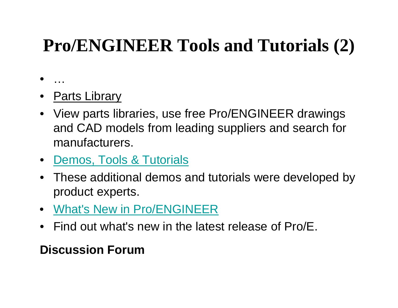# **Pro/ENGINEER Tools and Tutorials (2)**

- …
- Parts Library
- View parts libraries, use free Pro/ENGINEER drawings and CAD models from leading suppliers and search for manufacturers.
- Demos, Tools & Tutorials
- These additional demos and tutorials were developed by product experts.
- What's New in Pro/ENGINEER
- Find out what's new in the latest release of Pro/E.

## **Discussion Forum**